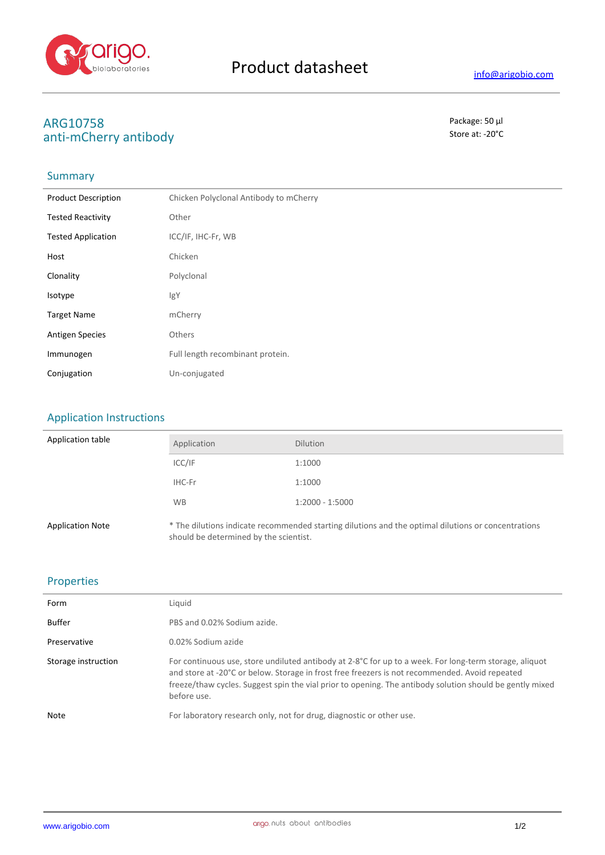

# **ARG10758** Package: 50 μl<br>
anti-mCherry antihody anti-mCherry antibody

## **Summary**

| <b>Product Description</b> | Chicken Polyclonal Antibody to mCherry |
|----------------------------|----------------------------------------|
| <b>Tested Reactivity</b>   | Other                                  |
| <b>Tested Application</b>  | ICC/IF, IHC-Fr, WB                     |
| Host                       | Chicken                                |
| Clonality                  | Polyclonal                             |
| Isotype                    | IgY                                    |
| <b>Target Name</b>         | mCherry                                |
| <b>Antigen Species</b>     | Others                                 |
| Immunogen                  | Full length recombinant protein.       |
| Conjugation                | Un-conjugated                          |

## Application Instructions

| Application table       | Application                            | <b>Dilution</b>                                                                                     |
|-------------------------|----------------------------------------|-----------------------------------------------------------------------------------------------------|
|                         | ICC/IF                                 | 1:1000                                                                                              |
|                         | IHC-Fr                                 | 1:1000                                                                                              |
|                         | <b>WB</b>                              | $1:2000 - 1:5000$                                                                                   |
| <b>Application Note</b> | should be determined by the scientist. | * The dilutions indicate recommended starting dilutions and the optimal dilutions or concentrations |

### Properties

| Form                | Liauid                                                                                                                                                                                                                                                                                                                              |
|---------------------|-------------------------------------------------------------------------------------------------------------------------------------------------------------------------------------------------------------------------------------------------------------------------------------------------------------------------------------|
| Buffer              | PBS and 0.02% Sodium azide.                                                                                                                                                                                                                                                                                                         |
| Preservative        | 0.02% Sodium azide                                                                                                                                                                                                                                                                                                                  |
| Storage instruction | For continuous use, store undiluted antibody at 2-8°C for up to a week. For long-term storage, aliquot<br>and store at -20°C or below. Storage in frost free freezers is not recommended. Avoid repeated<br>freeze/thaw cycles. Suggest spin the vial prior to opening. The antibody solution should be gently mixed<br>before use. |
| Note                | For laboratory research only, not for drug, diagnostic or other use.                                                                                                                                                                                                                                                                |